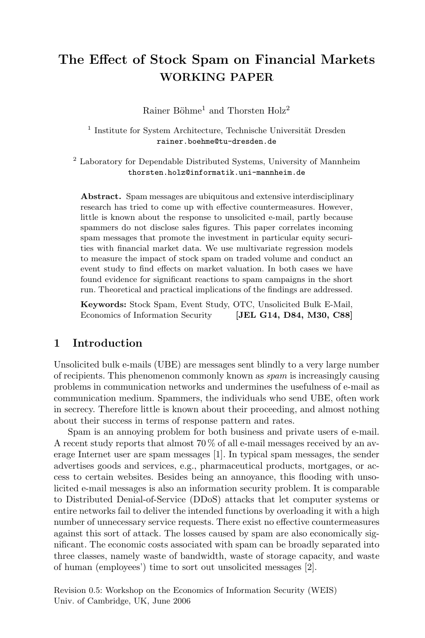# The Effect of Stock Spam on Financial Markets WORKING PAPER

Rainer Böhme<sup>1</sup> and Thorsten Holz<sup>2</sup>

<sup>1</sup> Institute for System Architecture, Technische Universität Dresden rainer.boehme@tu-dresden.de

<sup>2</sup> Laboratory for Dependable Distributed Systems, University of Mannheim thorsten.holz@informatik.uni-mannheim.de

Abstract. Spam messages are ubiquitous and extensive interdisciplinary research has tried to come up with effective countermeasures. However, little is known about the response to unsolicited e-mail, partly because spammers do not disclose sales figures. This paper correlates incoming spam messages that promote the investment in particular equity securities with financial market data. We use multivariate regression models to measure the impact of stock spam on traded volume and conduct an event study to find effects on market valuation. In both cases we have found evidence for significant reactions to spam campaigns in the short run. Theoretical and practical implications of the findings are addressed.

Keywords: Stock Spam, Event Study, OTC, Unsolicited Bulk E-Mail, Economics of Information Security [JEL G14, D84, M30, C88]

## 1 Introduction

Unsolicited bulk e-mails (UBE) are messages sent blindly to a very large number of recipients. This phenomenon commonly known as spam is increasingly causing problems in communication networks and undermines the usefulness of e-mail as communication medium. Spammers, the individuals who send UBE, often work in secrecy. Therefore little is known about their proceeding, and almost nothing about their success in terms of response pattern and rates.

Spam is an annoying problem for both business and private users of e-mail. A recent study reports that almost 70 % of all e-mail messages received by an average Internet user are spam messages [1]. In typical spam messages, the sender advertises goods and services, e.g., pharmaceutical products, mortgages, or access to certain websites. Besides being an annoyance, this flooding with unsolicited e-mail messages is also an information security problem. It is comparable to Distributed Denial-of-Service (DDoS) attacks that let computer systems or entire networks fail to deliver the intended functions by overloading it with a high number of unnecessary service requests. There exist no effective countermeasures against this sort of attack. The losses caused by spam are also economically significant. The economic costs associated with spam can be broadly separated into three classes, namely waste of bandwidth, waste of storage capacity, and waste of human (employees') time to sort out unsolicited messages [2].

Revision 0.5: Workshop on the Economics of Information Security (WEIS) Univ. of Cambridge, UK, June 2006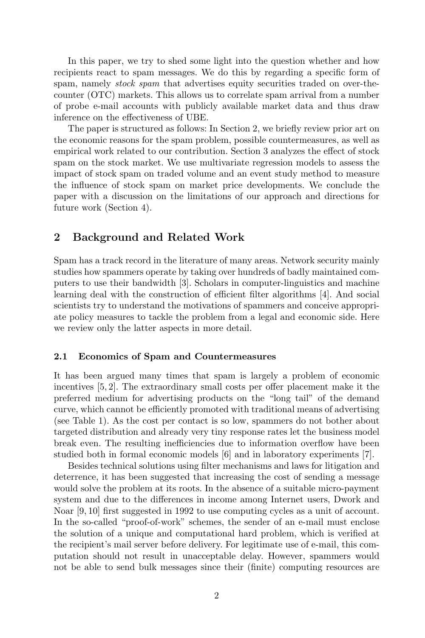In this paper, we try to shed some light into the question whether and how recipients react to spam messages. We do this by regarding a specific form of spam, namely *stock spam* that advertises equity securities traded on over-thecounter (OTC) markets. This allows us to correlate spam arrival from a number of probe e-mail accounts with publicly available market data and thus draw inference on the effectiveness of UBE.

The paper is structured as follows: In Section 2, we briefly review prior art on the economic reasons for the spam problem, possible countermeasures, as well as empirical work related to our contribution. Section 3 analyzes the effect of stock spam on the stock market. We use multivariate regression models to assess the impact of stock spam on traded volume and an event study method to measure the influence of stock spam on market price developments. We conclude the paper with a discussion on the limitations of our approach and directions for future work (Section 4).

# 2 Background and Related Work

Spam has a track record in the literature of many areas. Network security mainly studies how spammers operate by taking over hundreds of badly maintained computers to use their bandwidth [3]. Scholars in computer-linguistics and machine learning deal with the construction of efficient filter algorithms [4]. And social scientists try to understand the motivations of spammers and conceive appropriate policy measures to tackle the problem from a legal and economic side. Here we review only the latter aspects in more detail.

#### 2.1 Economics of Spam and Countermeasures

It has been argued many times that spam is largely a problem of economic incentives [5, 2]. The extraordinary small costs per offer placement make it the preferred medium for advertising products on the "long tail" of the demand curve, which cannot be efficiently promoted with traditional means of advertising (see Table 1). As the cost per contact is so low, spammers do not bother about targeted distribution and already very tiny response rates let the business model break even. The resulting inefficiencies due to information overflow have been studied both in formal economic models [6] and in laboratory experiments [7].

Besides technical solutions using filter mechanisms and laws for litigation and deterrence, it has been suggested that increasing the cost of sending a message would solve the problem at its roots. In the absence of a suitable micro-payment system and due to the differences in income among Internet users, Dwork and Noar [9, 10] first suggested in 1992 to use computing cycles as a unit of account. In the so-called "proof-of-work" schemes, the sender of an e-mail must enclose the solution of a unique and computational hard problem, which is verified at the recipient's mail server before delivery. For legitimate use of e-mail, this computation should not result in unacceptable delay. However, spammers would not be able to send bulk messages since their (finite) computing resources are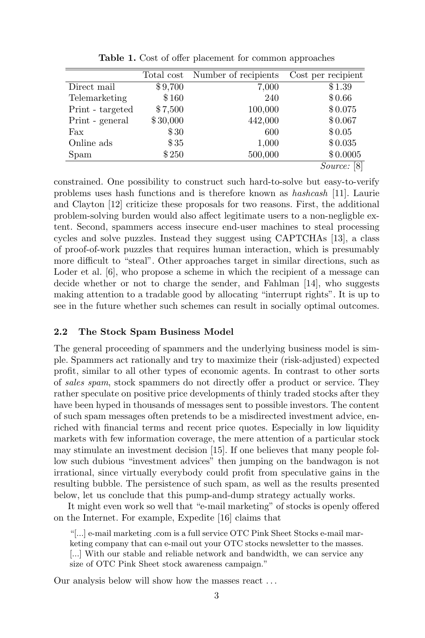|                  | Total cost | Number of recipients | Cost per recipient |
|------------------|------------|----------------------|--------------------|
| Direct mail      | \$9,700    | 7,000                | \$1.39             |
| Telemarketing    | \$160      | 240                  | \$0.66             |
| Print - targeted | \$7,500    | 100,000              | \$0.075            |
| Print - general  | \$30,000   | 442,000              | \$0.067            |
| Fax              | \$30       | 600                  | \$0.05             |
| Online ads       | \$35       | 1,000                | \$0.035            |
| Spam             | \$250      | 500,000              | \$0.0005           |
|                  |            |                      | <i>Source:</i> [8] |

Table 1. Cost of offer placement for common approaches

constrained. One possibility to construct such hard-to-solve but easy-to-verify problems uses hash functions and is therefore known as hashcash [11]. Laurie and Clayton [12] criticize these proposals for two reasons. First, the additional problem-solving burden would also affect legitimate users to a non-negligble extent. Second, spammers access insecure end-user machines to steal processing cycles and solve puzzles. Instead they suggest using CAPTCHAs [13], a class of proof-of-work puzzles that requires human interaction, which is presumably more difficult to "steal". Other approaches target in similar directions, such as Loder et al. [6], who propose a scheme in which the recipient of a message can decide whether or not to charge the sender, and Fahlman [14], who suggests making attention to a tradable good by allocating "interrupt rights". It is up to see in the future whether such schemes can result in socially optimal outcomes.

## 2.2 The Stock Spam Business Model

The general proceeding of spammers and the underlying business model is simple. Spammers act rationally and try to maximize their (risk-adjusted) expected profit, similar to all other types of economic agents. In contrast to other sorts of sales spam, stock spammers do not directly offer a product or service. They rather speculate on positive price developments of thinly traded stocks after they have been hyped in thousands of messages sent to possible investors. The content of such spam messages often pretends to be a misdirected investment advice, enriched with financial terms and recent price quotes. Especially in low liquidity markets with few information coverage, the mere attention of a particular stock may stimulate an investment decision [15]. If one believes that many people follow such dubious "investment advices" then jumping on the bandwagon is not irrational, since virtually everybody could profit from speculative gains in the resulting bubble. The persistence of such spam, as well as the results presented below, let us conclude that this pump-and-dump strategy actually works.

It might even work so well that "e-mail marketing" of stocks is openly offered on the Internet. For example, Expedite [16] claims that

"[...] e-mail marketing .com is a full service OTC Pink Sheet Stocks e-mail marketing company that can e-mail out your OTC stocks newsletter to the masses. [...] With our stable and reliable network and bandwidth, we can service any size of OTC Pink Sheet stock awareness campaign."

Our analysis below will show how the masses react . . .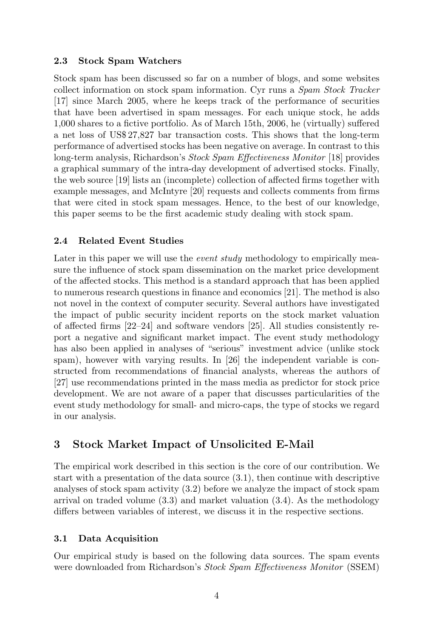## 2.3 Stock Spam Watchers

Stock spam has been discussed so far on a number of blogs, and some websites collect information on stock spam information. Cyr runs a Spam Stock Tracker [17] since March 2005, where he keeps track of the performance of securities that have been advertised in spam messages. For each unique stock, he adds 1,000 shares to a fictive portfolio. As of March 15th, 2006, he (virtually) suffered a net loss of US\$ 27,827 bar transaction costs. This shows that the long-term performance of advertised stocks has been negative on average. In contrast to this long-term analysis, Richardson's Stock Spam Effectiveness Monitor [18] provides a graphical summary of the intra-day development of advertised stocks. Finally, the web source [19] lists an (incomplete) collection of affected firms together with example messages, and McIntyre [20] requests and collects comments from firms that were cited in stock spam messages. Hence, to the best of our knowledge, this paper seems to be the first academic study dealing with stock spam.

## 2.4 Related Event Studies

Later in this paper we will use the *event study* methodology to empirically measure the influence of stock spam dissemination on the market price development of the affected stocks. This method is a standard approach that has been applied to numerous research questions in finance and economics [21]. The method is also not novel in the context of computer security. Several authors have investigated the impact of public security incident reports on the stock market valuation of affected firms [22–24] and software vendors [25]. All studies consistently report a negative and significant market impact. The event study methodology has also been applied in analyses of "serious" investment advice (unlike stock spam), however with varying results. In [26] the independent variable is constructed from recommendations of financial analysts, whereas the authors of [27] use recommendations printed in the mass media as predictor for stock price development. We are not aware of a paper that discusses particularities of the event study methodology for small- and micro-caps, the type of stocks we regard in our analysis.

# 3 Stock Market Impact of Unsolicited E-Mail

The empirical work described in this section is the core of our contribution. We start with a presentation of the data source (3.1), then continue with descriptive analyses of stock spam activity (3.2) before we analyze the impact of stock spam arrival on traded volume (3.3) and market valuation (3.4). As the methodology differs between variables of interest, we discuss it in the respective sections.

## 3.1 Data Acquisition

Our empirical study is based on the following data sources. The spam events were downloaded from Richardson's Stock Spam Effectiveness Monitor (SSEM)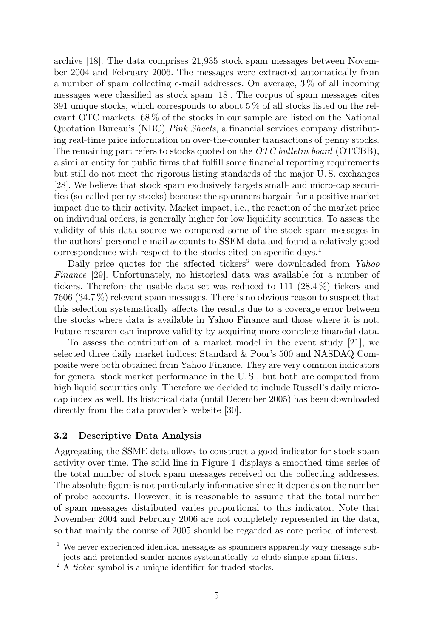archive [18]. The data comprises 21,935 stock spam messages between November 2004 and February 2006. The messages were extracted automatically from a number of spam collecting e-mail addresses. On average, 3 % of all incoming messages were classified as stock spam [18]. The corpus of spam messages cites 391 unique stocks, which corresponds to about 5 % of all stocks listed on the relevant OTC markets: 68 % of the stocks in our sample are listed on the National Quotation Bureau's (NBC) Pink Sheets, a financial services company distributing real-time price information on over-the-counter transactions of penny stocks. The remaining part refers to stocks quoted on the  $OTC$  bulletin board (OTCBB), a similar entity for public firms that fulfill some financial reporting requirements but still do not meet the rigorous listing standards of the major U. S. exchanges [28]. We believe that stock spam exclusively targets small- and micro-cap securities (so-called penny stocks) because the spammers bargain for a positive market impact due to their activity. Market impact, i.e., the reaction of the market price on individual orders, is generally higher for low liquidity securities. To assess the validity of this data source we compared some of the stock spam messages in the authors' personal e-mail accounts to SSEM data and found a relatively good correspondence with respect to the stocks cited on specific days.<sup>1</sup>

Daily price quotes for the affected tickers<sup>2</sup> were downloaded from *Yahoo* Finance [29]. Unfortunately, no historical data was available for a number of tickers. Therefore the usable data set was reduced to 111 (28.4 %) tickers and 7606 (34.7 %) relevant spam messages. There is no obvious reason to suspect that this selection systematically affects the results due to a coverage error between the stocks where data is available in Yahoo Finance and those where it is not. Future research can improve validity by acquiring more complete financial data.

To assess the contribution of a market model in the event study [21], we selected three daily market indices: Standard & Poor's 500 and NASDAQ Composite were both obtained from Yahoo Finance. They are very common indicators for general stock market performance in the U. S., but both are computed from high liquid securities only. Therefore we decided to include Russell's daily microcap index as well. Its historical data (until December 2005) has been downloaded directly from the data provider's website [30].

#### 3.2 Descriptive Data Analysis

Aggregating the SSME data allows to construct a good indicator for stock spam activity over time. The solid line in Figure 1 displays a smoothed time series of the total number of stock spam messages received on the collecting addresses. The absolute figure is not particularly informative since it depends on the number of probe accounts. However, it is reasonable to assume that the total number of spam messages distributed varies proportional to this indicator. Note that November 2004 and February 2006 are not completely represented in the data, so that mainly the course of 2005 should be regarded as core period of interest.

<sup>&</sup>lt;sup>1</sup> We never experienced identical messages as spammers apparently vary message subjects and pretended sender names systematically to elude simple spam filters.

<sup>2</sup> A ticker symbol is a unique identifier for traded stocks.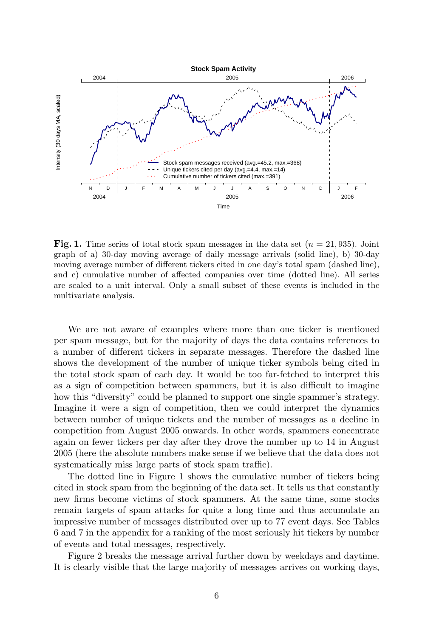

**Fig. 1.** Time series of total stock spam messages in the data set  $(n = 21, 935)$ . Joint graph of a) 30-day moving average of daily message arrivals (solid line), b) 30-day moving average number of different tickers cited in one day's total spam (dashed line), and c) cumulative number of affected companies over time (dotted line). All series are scaled to a unit interval. Only a small subset of these events is included in the multivariate analysis.

We are not aware of examples where more than one ticker is mentioned per spam message, but for the majority of days the data contains references to a number of different tickers in separate messages. Therefore the dashed line shows the development of the number of unique ticker symbols being cited in the total stock spam of each day. It would be too far-fetched to interpret this as a sign of competition between spammers, but it is also difficult to imagine how this "diversity" could be planned to support one single spammer's strategy. Imagine it were a sign of competition, then we could interpret the dynamics between number of unique tickets and the number of messages as a decline in competition from August 2005 onwards. In other words, spammers concentrate again on fewer tickers per day after they drove the number up to 14 in August 2005 (here the absolute numbers make sense if we believe that the data does not systematically miss large parts of stock spam traffic).

The dotted line in Figure 1 shows the cumulative number of tickers being cited in stock spam from the beginning of the data set. It tells us that constantly new firms become victims of stock spammers. At the same time, some stocks remain targets of spam attacks for quite a long time and thus accumulate an impressive number of messages distributed over up to 77 event days. See Tables 6 and 7 in the appendix for a ranking of the most seriously hit tickers by number of events and total messages, respectively.

Figure 2 breaks the message arrival further down by weekdays and daytime. It is clearly visible that the large majority of messages arrives on working days,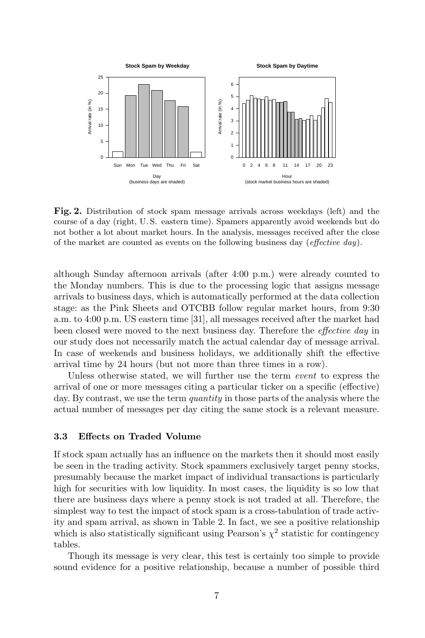

Fig. 2. Distribution of stock spam message arrivals across weekdays (left) and the course of a day (right, U. S. eastern time). Spamers apparently avoid weekends but do not bother a lot about market hours. In the analysis, messages received after the close of the market are counted as events on the following business day (effective day).

although Sunday afternoon arrivals (after 4:00 p.m.) were already counted to the Monday numbers. This is due to the processing logic that assigns message arrivals to business days, which is automatically performed at the data collection stage: as the Pink Sheets and OTCBB follow regular market hours, from 9:30 a.m. to 4:00 p.m. US eastern time [31], all messages received after the market had been closed were moved to the next business day. Therefore the effective day in our study does not necessarily match the actual calendar day of message arrival. In case of weekends and business holidays, we additionally shift the effective arrival time by 24 hours (but not more than three times in a row).

Unless otherwise stated, we will further use the term *event* to express the arrival of one or more messages citing a particular ticker on a specific (effective) day. By contrast, we use the term *quantity* in those parts of the analysis where the actual number of messages per day citing the same stock is a relevant measure.

### 3.3 Effects on Traded Volume

If stock spam actually has an influence on the markets then it should most easily be seen in the trading activity. Stock spammers exclusively target penny stocks, presumably because the market impact of individual transactions is particularly high for securities with low liquidity. In most cases, the liquidity is so low that there are business days where a penny stock is not traded at all. Therefore, the simplest way to test the impact of stock spam is a cross-tabulation of trade activity and spam arrival, as shown in Table 2. In fact, we see a positive relationship which is also statistically significant using Pearson's  $\chi^2$  statistic for contingency tables.

Though its message is very clear, this test is certainly too simple to provide sound evidence for a positive relationship, because a number of possible third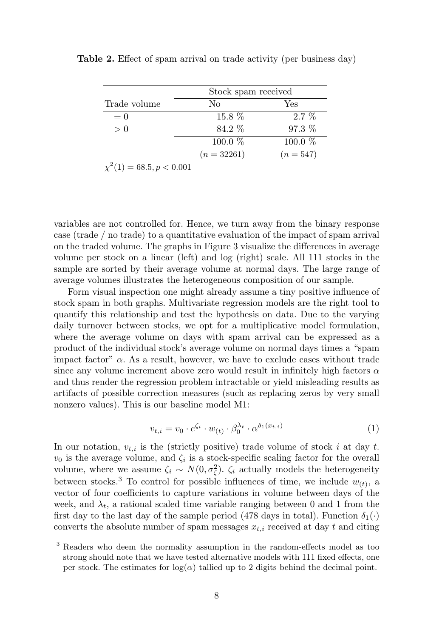|                               | Stock spam received |           |  |  |
|-------------------------------|---------------------|-----------|--|--|
| Trade volume                  | No                  | Yes       |  |  |
| $= 0$                         | $15.8\%$            | $2.7\%$   |  |  |
| > 0                           | 84.2 %              | 97.3 %    |  |  |
|                               | 100.0 %             | 100.0 %   |  |  |
|                               | $(n=32261)$         | $(n=547)$ |  |  |
| $\chi^2(1) = 68.5, p < 0.001$ |                     |           |  |  |

Table 2. Effect of spam arrival on trade activity (per business day)

variables are not controlled for. Hence, we turn away from the binary response case (trade / no trade) to a quantitative evaluation of the impact of spam arrival on the traded volume. The graphs in Figure 3 visualize the differences in average volume per stock on a linear (left) and log (right) scale. All 111 stocks in the sample are sorted by their average volume at normal days. The large range of average volumes illustrates the heterogeneous composition of our sample.

Form visual inspection one might already assume a tiny positive influence of stock spam in both graphs. Multivariate regression models are the right tool to quantify this relationship and test the hypothesis on data. Due to the varying daily turnover between stocks, we opt for a multiplicative model formulation, where the average volume on days with spam arrival can be expressed as a product of the individual stock's average volume on normal days times a "spam impact factor"  $\alpha$ . As a result, however, we have to exclude cases without trade since any volume increment above zero would result in infinitely high factors  $\alpha$ and thus render the regression problem intractable or yield misleading results as artifacts of possible correction measures (such as replacing zeros by very small nonzero values). This is our baseline model M1:

$$
v_{t,i} = v_0 \cdot e^{\zeta_i} \cdot w_{(t)} \cdot \beta_0^{\lambda_t} \cdot \alpha^{\delta_1(x_{t,i})}
$$
\n
$$
\tag{1}
$$

In our notation,  $v_{t,i}$  is the (strictly positive) trade volume of stock i at day t.  $v_0$  is the average volume, and  $\zeta_i$  is a stock-specific scaling factor for the overall volume, where we assume  $\zeta_i \sim N(0, \sigma_{\zeta}^2)$ .  $\zeta_i$  actually models the heterogeneity between stocks.<sup>3</sup> To control for possible influences of time, we include  $w_{(t)}$ , a vector of four coefficients to capture variations in volume between days of the week, and  $\lambda_t$ , a rational scaled time variable ranging between 0 and 1 from the first day to the last day of the sample period (478 days in total). Function  $\delta_1(\cdot)$ converts the absolute number of spam messages  $x_{t,i}$  received at day t and citing

<sup>3</sup> Readers who deem the normality assumption in the random-effects model as too strong should note that we have tested alternative models with 111 fixed effects, one per stock. The estimates for  $log(\alpha)$  tallied up to 2 digits behind the decimal point.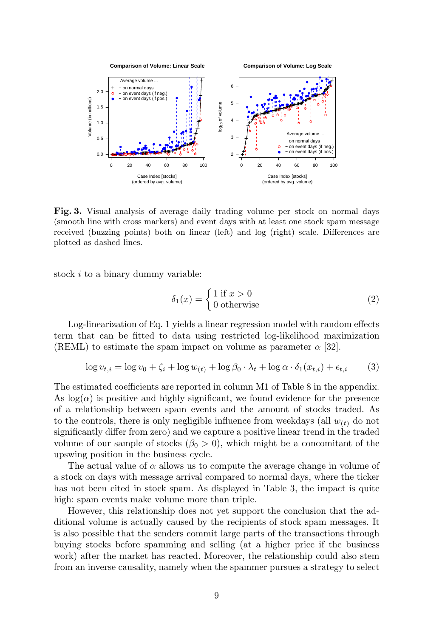

Fig. 3. Visual analysis of average daily trading volume per stock on normal days (smooth line with cross markers) and event days with at least one stock spam message received (buzzing points) both on linear (left) and log (right) scale. Differences are plotted as dashed lines.

stock i to a binary dummy variable:

$$
\delta_1(x) = \begin{cases} 1 \text{ if } x > 0 \\ 0 \text{ otherwise} \end{cases}
$$
 (2)

Log-linearization of Eq. 1 yields a linear regression model with random effects term that can be fitted to data using restricted log-likelihood maximization (REML) to estimate the spam impact on volume as parameter  $\alpha$  [32].

$$
\log v_{t,i} = \log v_0 + \zeta_i + \log w_{(t)} + \log \beta_0 \cdot \lambda_t + \log \alpha \cdot \delta_1(x_{t,i}) + \epsilon_{t,i} \tag{3}
$$

The estimated coefficients are reported in column M1 of Table 8 in the appendix. As  $\log(\alpha)$  is positive and highly significant, we found evidence for the presence of a relationship between spam events and the amount of stocks traded. As to the controls, there is only negligible influence from weekdays (all  $w_{(t)}$  do not significantly differ from zero) and we capture a positive linear trend in the traded volume of our sample of stocks  $(\beta_0 > 0)$ , which might be a concomitant of the upswing position in the business cycle.

The actual value of  $\alpha$  allows us to compute the average change in volume of a stock on days with message arrival compared to normal days, where the ticker has not been cited in stock spam. As displayed in Table 3, the impact is quite high: spam events make volume more than triple.

However, this relationship does not yet support the conclusion that the additional volume is actually caused by the recipients of stock spam messages. It is also possible that the senders commit large parts of the transactions through buying stocks before spamming and selling (at a higher price if the business work) after the market has reacted. Moreover, the relationship could also stem from an inverse causality, namely when the spammer pursues a strategy to select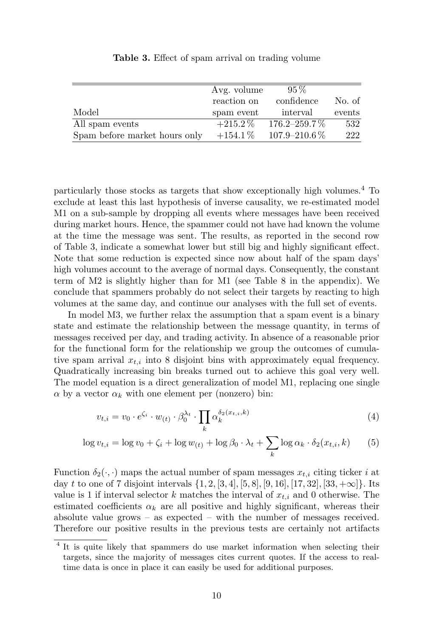|                               | Avg. volume | $95\%$              |        |
|-------------------------------|-------------|---------------------|--------|
|                               | reaction on | confidence          | No. of |
| Model                         | spam event  | interval            | events |
| All spam events               | $+215.2\%$  | $176.2 - 259.7\%$   | 532    |
| Spam before market hours only | $+154.1\%$  | $107.9 - 210.6\,\%$ | 222    |

Table 3. Effect of spam arrival on trading volume

particularly those stocks as targets that show exceptionally high volumes.<sup>4</sup> To exclude at least this last hypothesis of inverse causality, we re-estimated model M1 on a sub-sample by dropping all events where messages have been received during market hours. Hence, the spammer could not have had known the volume at the time the message was sent. The results, as reported in the second row of Table 3, indicate a somewhat lower but still big and highly significant effect. Note that some reduction is expected since now about half of the spam days' high volumes account to the average of normal days. Consequently, the constant term of M2 is slightly higher than for M1 (see Table 8 in the appendix). We conclude that spammers probably do not select their targets by reacting to high volumes at the same day, and continue our analyses with the full set of events.

In model M3, we further relax the assumption that a spam event is a binary state and estimate the relationship between the message quantity, in terms of messages received per day, and trading activity. In absence of a reasonable prior for the functional form for the relationship we group the outcomes of cumulative spam arrival  $x_{t,i}$  into 8 disjoint bins with approximately equal frequency. Quadratically increasing bin breaks turned out to achieve this goal very well. The model equation is a direct generalization of model M1, replacing one single  $\alpha$  by a vector  $\alpha_k$  with one element per (nonzero) bin:

$$
v_{t,i} = v_0 \cdot e^{\zeta_i} \cdot w_{(t)} \cdot \beta_0^{\lambda_t} \cdot \prod_k \alpha_k^{\delta_2(x_{t,i},k)}
$$
\n
$$
\tag{4}
$$

$$
\log v_{t,i} = \log v_0 + \zeta_i + \log w_{(t)} + \log \beta_0 \cdot \lambda_t + \sum_k \log \alpha_k \cdot \delta_2(x_{t,i}, k) \tag{5}
$$

Function  $\delta_2(\cdot, \cdot)$  maps the actual number of spam messages  $x_{t,i}$  citing ticker i at day t to one of 7 disjoint intervals  $\{1, 2, [3, 4], [5, 8], [9, 16], [17, 32], [33, +\infty] \}$ . Its value is 1 if interval selector k matches the interval of  $x_{t,i}$  and 0 otherwise. The estimated coefficients  $\alpha_k$  are all positive and highly significant, whereas their absolute value grows – as expected – with the number of messages received. Therefore our positive results in the previous tests are certainly not artifacts

<sup>&</sup>lt;sup>4</sup> It is quite likely that spammers do use market information when selecting their targets, since the majority of messages cites current quotes. If the access to realtime data is once in place it can easily be used for additional purposes.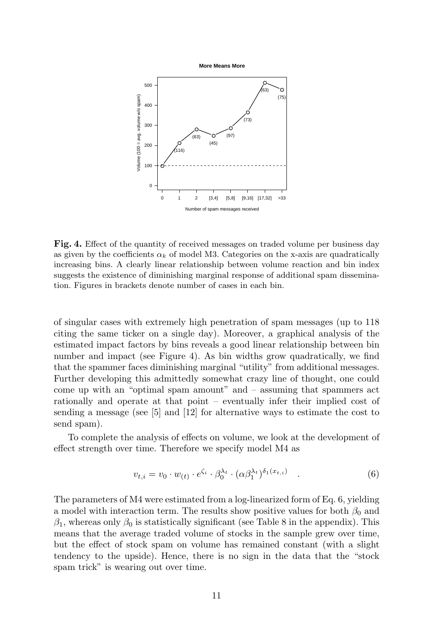**More Means More**



Fig. 4. Effect of the quantity of received messages on traded volume per business day as given by the coefficients  $\alpha_k$  of model M3. Categories on the x-axis are quadratically increasing bins. A clearly linear relationship between volume reaction and bin index suggests the existence of diminishing marginal response of additional spam dissemination. Figures in brackets denote number of cases in each bin.

of singular cases with extremely high penetration of spam messages (up to 118 citing the same ticker on a single day). Moreover, a graphical analysis of the estimated impact factors by bins reveals a good linear relationship between bin number and impact (see Figure 4). As bin widths grow quadratically, we find that the spammer faces diminishing marginal "utility" from additional messages. Further developing this admittedly somewhat crazy line of thought, one could come up with an "optimal spam amount" and – assuming that spammers act rationally and operate at that point – eventually infer their implied cost of sending a message (see [5] and [12] for alternative ways to estimate the cost to send spam).

To complete the analysis of effects on volume, we look at the development of effect strength over time. Therefore we specify model M4 as

$$
v_{t,i} = v_0 \cdot w_{(t)} \cdot e^{\zeta_i} \cdot \beta_0^{\lambda_t} \cdot (\alpha \beta_1^{\lambda_t})^{\delta_1(x_{t,i})} \quad . \tag{6}
$$

The parameters of M4 were estimated from a log-linearized form of Eq. 6, yielding a model with interaction term. The results show positive values for both  $\beta_0$  and  $\beta_1$ , whereas only  $\beta_0$  is statistically significant (see Table 8 in the appendix). This means that the average traded volume of stocks in the sample grew over time, but the effect of stock spam on volume has remained constant (with a slight tendency to the upside). Hence, there is no sign in the data that the "stock spam trick" is wearing out over time.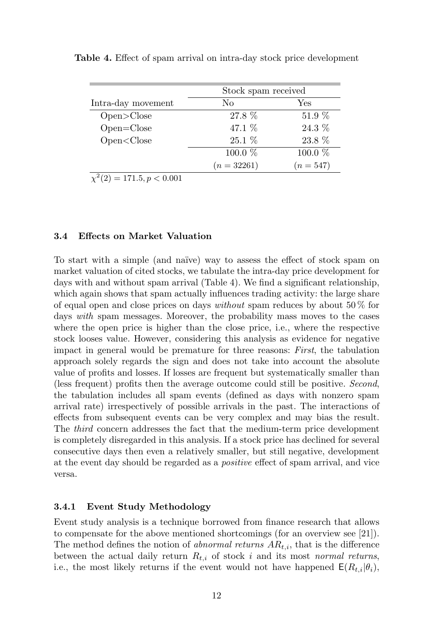|                                                                         | Stock spam received |             |  |  |
|-------------------------------------------------------------------------|---------------------|-------------|--|--|
| Intra-day movement                                                      | No                  | Yes         |  |  |
| Open > Close                                                            | 27.8 %              | 51.9 %      |  |  |
| $Open = Close$                                                          | 47.1 %              | 24.3 %      |  |  |
| Open <close< td=""><td><math>25.1\%</math></td><td>23.8 %</td></close<> | $25.1\%$            | 23.8 %      |  |  |
|                                                                         | $100.0\%$           | 100.0 %     |  |  |
|                                                                         | $(n = 32261)$       | $(n = 547)$ |  |  |

Table 4. Effect of spam arrival on intra-day stock price development

 $\chi^2(2) = 171.5, p < 0.001$ 

#### 3.4 Effects on Market Valuation

To start with a simple (and naïve) way to assess the effect of stock spam on market valuation of cited stocks, we tabulate the intra-day price development for days with and without spam arrival (Table 4). We find a significant relationship, which again shows that spam actually influences trading activity: the large share of equal open and close prices on days *without* spam reduces by about  $50\%$  for days with spam messages. Moreover, the probability mass moves to the cases where the open price is higher than the close price, i.e., where the respective stock looses value. However, considering this analysis as evidence for negative impact in general would be premature for three reasons: First, the tabulation approach solely regards the sign and does not take into account the absolute value of profits and losses. If losses are frequent but systematically smaller than (less frequent) profits then the average outcome could still be positive. Second, the tabulation includes all spam events (defined as days with nonzero spam arrival rate) irrespectively of possible arrivals in the past. The interactions of effects from subsequent events can be very complex and may bias the result. The third concern addresses the fact that the medium-term price development is completely disregarded in this analysis. If a stock price has declined for several consecutive days then even a relatively smaller, but still negative, development at the event day should be regarded as a positive effect of spam arrival, and vice versa.

#### 3.4.1 Event Study Methodology

Event study analysis is a technique borrowed from finance research that allows to compensate for the above mentioned shortcomings (for an overview see [21]). The method defines the notion of *abnormal returns*  $AR_{t,i}$ , that is the difference between the actual daily return  $R_{t,i}$  of stock i and its most normal returns, i.e., the most likely returns if the event would not have happened  $E(R_{t,i}|\theta_i)$ ,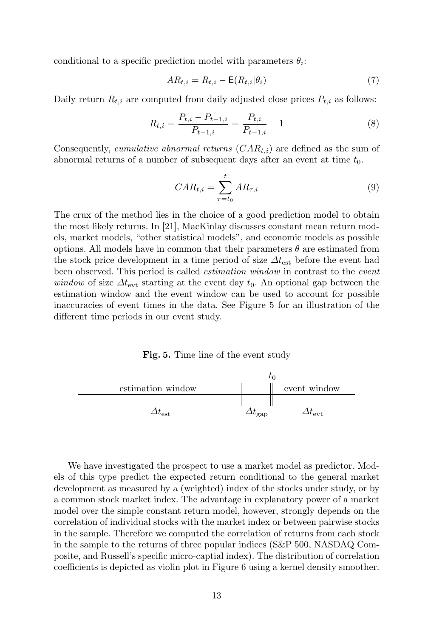conditional to a specific prediction model with parameters  $\theta_i$ :

$$
AR_{t,i} = R_{t,i} - \mathsf{E}(R_{t,i}|\theta_i)
$$
\n<sup>(7)</sup>

Daily return  $R_{t,i}$  are computed from daily adjusted close prices  $P_{t,i}$  as follows:

$$
R_{t,i} = \frac{P_{t,i} - P_{t-1,i}}{P_{t-1,i}} = \frac{P_{t,i}}{P_{t-1,i}} - 1
$$
\n(8)

Consequently, *cumulative abnormal returns*  $(CAR_{t,i})$  are defined as the sum of abnormal returns of a number of subsequent days after an event at time  $t_0$ .

$$
CAR_{t,i} = \sum_{\tau=t_0}^{t} AR_{\tau,i}
$$
\n(9)

The crux of the method lies in the choice of a good prediction model to obtain the most likely returns. In [21], MacKinlay discusses constant mean return models, market models, "other statistical models", and economic models as possible options. All models have in common that their parameters  $\theta$  are estimated from the stock price development in a time period of size  $\Delta t_{est}$  before the event had been observed. This period is called estimation window in contrast to the event window of size  $\Delta t_{\rm evt}$  starting at the event day  $t_0$ . An optional gap between the estimation window and the event window can be used to account for possible inaccuracies of event times in the data. See Figure 5 for an illustration of the different time periods in our event study.

Fig. 5. Time line of the event study



We have investigated the prospect to use a market model as predictor. Models of this type predict the expected return conditional to the general market development as measured by a (weighted) index of the stocks under study, or by a common stock market index. The advantage in explanatory power of a market model over the simple constant return model, however, strongly depends on the correlation of individual stocks with the market index or between pairwise stocks in the sample. Therefore we computed the correlation of returns from each stock in the sample to the returns of three popular indices (S&P 500, NASDAQ Composite, and Russell's specific micro-captial index). The distribution of correlation coefficients is depicted as violin plot in Figure 6 using a kernel density smoother.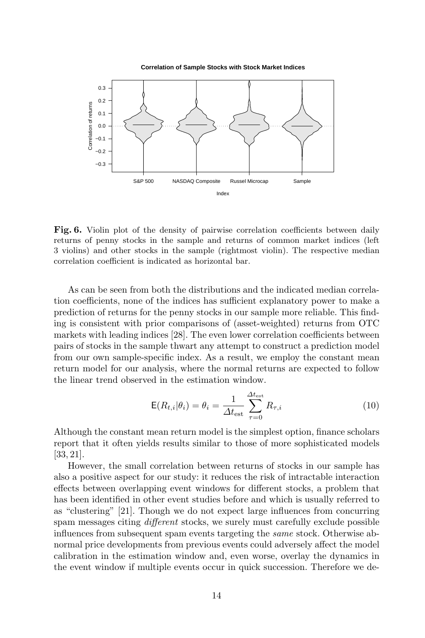



Fig. 6. Violin plot of the density of pairwise correlation coefficients between daily returns of penny stocks in the sample and returns of common market indices (left 3 violins) and other stocks in the sample (rightmost violin). The respective median correlation coefficient is indicated as horizontal bar.

As can be seen from both the distributions and the indicated median correlation coefficients, none of the indices has sufficient explanatory power to make a prediction of returns for the penny stocks in our sample more reliable. This finding is consistent with prior comparisons of (asset-weighted) returns from OTC markets with leading indices [28]. The even lower correlation coefficients between pairs of stocks in the sample thwart any attempt to construct a prediction model from our own sample-specific index. As a result, we employ the constant mean return model for our analysis, where the normal returns are expected to follow the linear trend observed in the estimation window.

$$
\mathsf{E}(R_{t,i}|\theta_i) = \theta_i = \frac{1}{\Delta t_{\text{est}}} \sum_{\tau=0}^{\Delta t_{\text{est}}} R_{\tau,i}
$$
\n(10)

Although the constant mean return model is the simplest option, finance scholars report that it often yields results similar to those of more sophisticated models [33, 21].

However, the small correlation between returns of stocks in our sample has also a positive aspect for our study: it reduces the risk of intractable interaction effects between overlapping event windows for different stocks, a problem that has been identified in other event studies before and which is usually referred to as "clustering" [21]. Though we do not expect large influences from concurring spam messages citing *different* stocks, we surely must carefully exclude possible influences from subsequent spam events targeting the same stock. Otherwise abnormal price developments from previous events could adversely affect the model calibration in the estimation window and, even worse, overlay the dynamics in the event window if multiple events occur in quick succession. Therefore we de-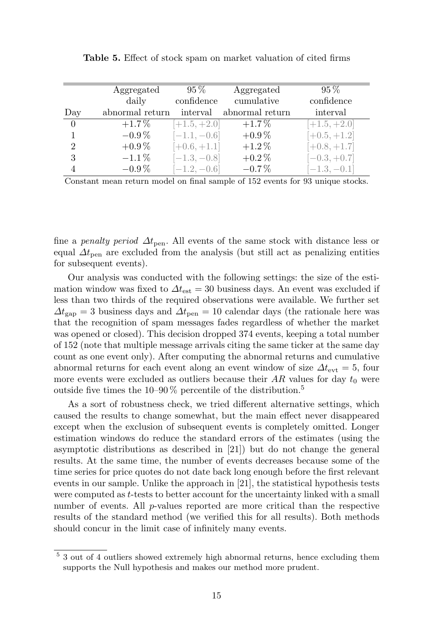|                | Aggregated      | $95\,\%$       | Aggregated      | $95\%$         |
|----------------|-----------------|----------------|-----------------|----------------|
|                | daily           | confidence     | cumulative      | confidence     |
| Day            | abnormal return | interval       | abnormal return | interval       |
| $\Omega$       | $+1.7\%$        | $[+1.5, +2.0]$ | $+1.7\%$        | $[+1.5, +2.0]$ |
|                | $-0.9\,\%$      | $[-1.1, -0.6]$ | $+0.9\%$        | $[-0.5, +1.2]$ |
| $\overline{2}$ | $+0.9\%$        | $[-0.6, +1.1]$ | $+1.2\%$        | $[-0.8, +1.7]$ |
| 3              | $-1.1\%$        | $[-1.3, -0.8]$ | $+0.2\%$        | $[-0.3, +0.7]$ |
|                | $-0.9\%$        | $[-1.2, -0.6]$ | $-0.7\%$        | $[-1.3, -0.1]$ |

Table 5. Effect of stock spam on market valuation of cited firms

Constant mean return model on final sample of 152 events for 93 unique stocks.

fine a penalty period  $\Delta t_{\text{pen}}$ . All events of the same stock with distance less or equal  $\Delta t_{\text{pen}}$  are excluded from the analysis (but still act as penalizing entities for subsequent events).

Our analysis was conducted with the following settings: the size of the estimation window was fixed to  $\Delta t_{\rm est} = 30$  business days. An event was excluded if less than two thirds of the required observations were available. We further set  $\Delta t_{\rm gap} = 3$  business days and  $\Delta t_{\rm pen} = 10$  calendar days (the rationale here was that the recognition of spam messages fades regardless of whether the market was opened or closed). This decision dropped 374 events, keeping a total number of 152 (note that multiple message arrivals citing the same ticker at the same day count as one event only). After computing the abnormal returns and cumulative abnormal returns for each event along an event window of size  $\Delta t_{\rm evt} = 5$ , four more events were excluded as outliers because their  $AR$  values for day  $t_0$  were outside five times the  $10-90\%$  percentile of the distribution.<sup>5</sup>

As a sort of robustness check, we tried different alternative settings, which caused the results to change somewhat, but the main effect never disappeared except when the exclusion of subsequent events is completely omitted. Longer estimation windows do reduce the standard errors of the estimates (using the asymptotic distributions as described in [21]) but do not change the general results. At the same time, the number of events decreases because some of the time series for price quotes do not date back long enough before the first relevant events in our sample. Unlike the approach in [21], the statistical hypothesis tests were computed as t-tests to better account for the uncertainty linked with a small number of events. All  $p$ -values reported are more critical than the respective results of the standard method (we verified this for all results). Both methods should concur in the limit case of infinitely many events.

<sup>&</sup>lt;sup>5</sup> 3 out of 4 outliers showed extremely high abnormal returns, hence excluding them supports the Null hypothesis and makes our method more prudent.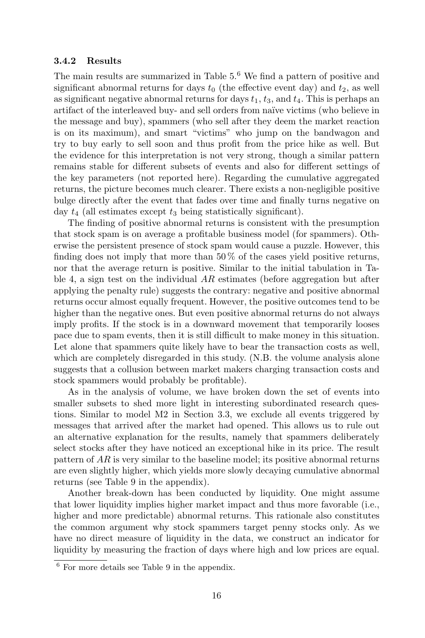#### 3.4.2 Results

The main results are summarized in Table 5.<sup>6</sup> We find a pattern of positive and significant abnormal returns for days  $t_0$  (the effective event day) and  $t_2$ , as well as significant negative abnormal returns for days  $t_1, t_3$ , and  $t_4$ . This is perhaps an artifact of the interleaved buy- and sell orders from na¨ıve victims (who believe in the message and buy), spammers (who sell after they deem the market reaction is on its maximum), and smart "victims" who jump on the bandwagon and try to buy early to sell soon and thus profit from the price hike as well. But the evidence for this interpretation is not very strong, though a similar pattern remains stable for different subsets of events and also for different settings of the key parameters (not reported here). Regarding the cumulative aggregated returns, the picture becomes much clearer. There exists a non-negligible positive bulge directly after the event that fades over time and finally turns negative on day  $t_4$  (all estimates except  $t_3$  being statistically significant).

The finding of positive abnormal returns is consistent with the presumption that stock spam is on average a profitable business model (for spammers). Otherwise the persistent presence of stock spam would cause a puzzle. However, this finding does not imply that more than  $50\%$  of the cases yield positive returns, nor that the average return is positive. Similar to the initial tabulation in Table 4, a sign test on the individual  $AR$  estimates (before aggregation but after applying the penalty rule) suggests the contrary: negative and positive abnormal returns occur almost equally frequent. However, the positive outcomes tend to be higher than the negative ones. But even positive abnormal returns do not always imply profits. If the stock is in a downward movement that temporarily looses pace due to spam events, then it is still difficult to make money in this situation. Let alone that spammers quite likely have to bear the transaction costs as well, which are completely disregarded in this study. (N.B. the volume analysis alone suggests that a collusion between market makers charging transaction costs and stock spammers would probably be profitable).

As in the analysis of volume, we have broken down the set of events into smaller subsets to shed more light in interesting subordinated research questions. Similar to model M2 in Section 3.3, we exclude all events triggered by messages that arrived after the market had opened. This allows us to rule out an alternative explanation for the results, namely that spammers deliberately select stocks after they have noticed an exceptional hike in its price. The result pattern of AR is very similar to the baseline model; its positive abnormal returns are even slightly higher, which yields more slowly decaying cumulative abnormal returns (see Table 9 in the appendix).

Another break-down has been conducted by liquidity. One might assume that lower liquidity implies higher market impact and thus more favorable (i.e., higher and more predictable) abnormal returns. This rationale also constitutes the common argument why stock spammers target penny stocks only. As we have no direct measure of liquidity in the data, we construct an indicator for liquidity by measuring the fraction of days where high and low prices are equal.

<sup>6</sup> For more details see Table 9 in the appendix.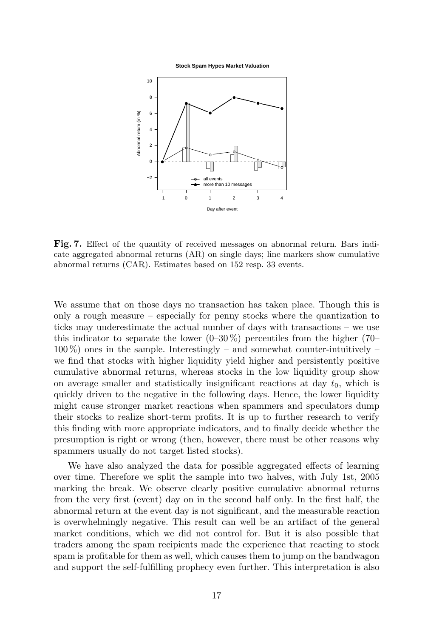**Stock Spam Hypes Market Valuation**



Fig. 7. Effect of the quantity of received messages on abnormal return. Bars indicate aggregated abnormal returns (AR) on single days; line markers show cumulative abnormal returns (CAR). Estimates based on 152 resp. 33 events.

We assume that on those days no transaction has taken place. Though this is only a rough measure – especially for penny stocks where the quantization to ticks may underestimate the actual number of days with transactions – we use this indicator to separate the lower  $(0-30\%)$  percentiles from the higher (70–  $100\%$ ) ones in the sample. Interestingly – and somewhat counter-intuitively – we find that stocks with higher liquidity yield higher and persistently positive cumulative abnormal returns, whereas stocks in the low liquidity group show on average smaller and statistically insignificant reactions at day  $t_0$ , which is quickly driven to the negative in the following days. Hence, the lower liquidity might cause stronger market reactions when spammers and speculators dump their stocks to realize short-term profits. It is up to further research to verify this finding with more appropriate indicators, and to finally decide whether the presumption is right or wrong (then, however, there must be other reasons why spammers usually do not target listed stocks).

We have also analyzed the data for possible aggregated effects of learning over time. Therefore we split the sample into two halves, with July 1st, 2005 marking the break. We observe clearly positive cumulative abnormal returns from the very first (event) day on in the second half only. In the first half, the abnormal return at the event day is not significant, and the measurable reaction is overwhelmingly negative. This result can well be an artifact of the general market conditions, which we did not control for. But it is also possible that traders among the spam recipients made the experience that reacting to stock spam is profitable for them as well, which causes them to jump on the bandwagon and support the self-fulfilling prophecy even further. This interpretation is also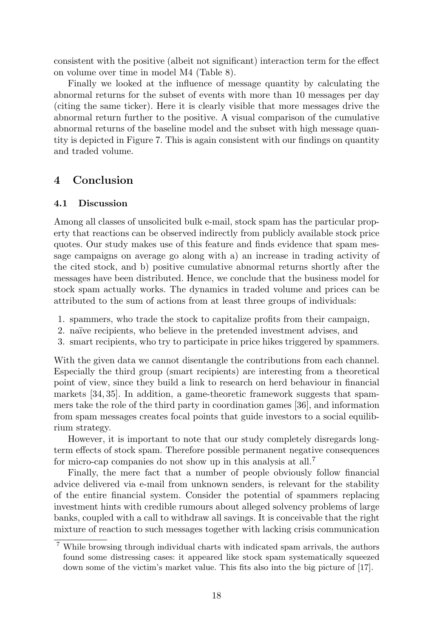consistent with the positive (albeit not significant) interaction term for the effect on volume over time in model M4 (Table 8).

Finally we looked at the influence of message quantity by calculating the abnormal returns for the subset of events with more than 10 messages per day (citing the same ticker). Here it is clearly visible that more messages drive the abnormal return further to the positive. A visual comparison of the cumulative abnormal returns of the baseline model and the subset with high message quantity is depicted in Figure 7. This is again consistent with our findings on quantity and traded volume.

# 4 Conclusion

## 4.1 Discussion

Among all classes of unsolicited bulk e-mail, stock spam has the particular property that reactions can be observed indirectly from publicly available stock price quotes. Our study makes use of this feature and finds evidence that spam message campaigns on average go along with a) an increase in trading activity of the cited stock, and b) positive cumulative abnormal returns shortly after the messages have been distributed. Hence, we conclude that the business model for stock spam actually works. The dynamics in traded volume and prices can be attributed to the sum of actions from at least three groups of individuals:

- 1. spammers, who trade the stock to capitalize profits from their campaign,
- 2. naïve recipients, who believe in the pretended investment advises, and
- 3. smart recipients, who try to participate in price hikes triggered by spammers.

With the given data we cannot disentangle the contributions from each channel. Especially the third group (smart recipients) are interesting from a theoretical point of view, since they build a link to research on herd behaviour in financial markets [34, 35]. In addition, a game-theoretic framework suggests that spammers take the role of the third party in coordination games [36], and information from spam messages creates focal points that guide investors to a social equilibrium strategy.

However, it is important to note that our study completely disregards longterm effects of stock spam. Therefore possible permanent negative consequences for micro-cap companies do not show up in this analysis at all.<sup>7</sup>

Finally, the mere fact that a number of people obviously follow financial advice delivered via e-mail from unknown senders, is relevant for the stability of the entire financial system. Consider the potential of spammers replacing investment hints with credible rumours about alleged solvency problems of large banks, coupled with a call to withdraw all savings. It is conceivable that the right mixture of reaction to such messages together with lacking crisis communication

<sup>7</sup> While browsing through individual charts with indicated spam arrivals, the authors found some distressing cases: it appeared like stock spam systematically squeezed down some of the victim's market value. This fits also into the big picture of [17].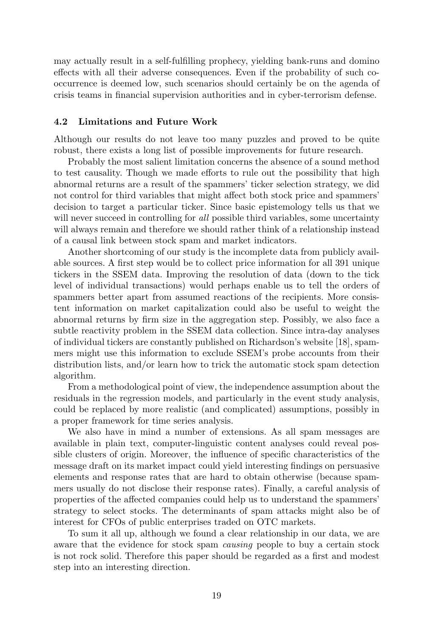may actually result in a self-fulfilling prophecy, yielding bank-runs and domino effects with all their adverse consequences. Even if the probability of such cooccurrence is deemed low, such scenarios should certainly be on the agenda of crisis teams in financial supervision authorities and in cyber-terrorism defense.

#### 4.2 Limitations and Future Work

Although our results do not leave too many puzzles and proved to be quite robust, there exists a long list of possible improvements for future research.

Probably the most salient limitation concerns the absence of a sound method to test causality. Though we made efforts to rule out the possibility that high abnormal returns are a result of the spammers' ticker selection strategy, we did not control for third variables that might affect both stock price and spammers' decision to target a particular ticker. Since basic epistemology tells us that we will never succeed in controlling for *all* possible third variables, some uncertainty will always remain and therefore we should rather think of a relationship instead of a causal link between stock spam and market indicators.

Another shortcoming of our study is the incomplete data from publicly available sources. A first step would be to collect price information for all 391 unique tickers in the SSEM data. Improving the resolution of data (down to the tick level of individual transactions) would perhaps enable us to tell the orders of spammers better apart from assumed reactions of the recipients. More consistent information on market capitalization could also be useful to weight the abnormal returns by firm size in the aggregation step. Possibly, we also face a subtle reactivity problem in the SSEM data collection. Since intra-day analyses of individual tickers are constantly published on Richardson's website [18], spammers might use this information to exclude SSEM's probe accounts from their distribution lists, and/or learn how to trick the automatic stock spam detection algorithm.

From a methodological point of view, the independence assumption about the residuals in the regression models, and particularly in the event study analysis, could be replaced by more realistic (and complicated) assumptions, possibly in a proper framework for time series analysis.

We also have in mind a number of extensions. As all spam messages are available in plain text, computer-linguistic content analyses could reveal possible clusters of origin. Moreover, the influence of specific characteristics of the message draft on its market impact could yield interesting findings on persuasive elements and response rates that are hard to obtain otherwise (because spammers usually do not disclose their response rates). Finally, a careful analysis of properties of the affected companies could help us to understand the spammers' strategy to select stocks. The determinants of spam attacks might also be of interest for CFOs of public enterprises traded on OTC markets.

To sum it all up, although we found a clear relationship in our data, we are aware that the evidence for stock spam causing people to buy a certain stock is not rock solid. Therefore this paper should be regarded as a first and modest step into an interesting direction.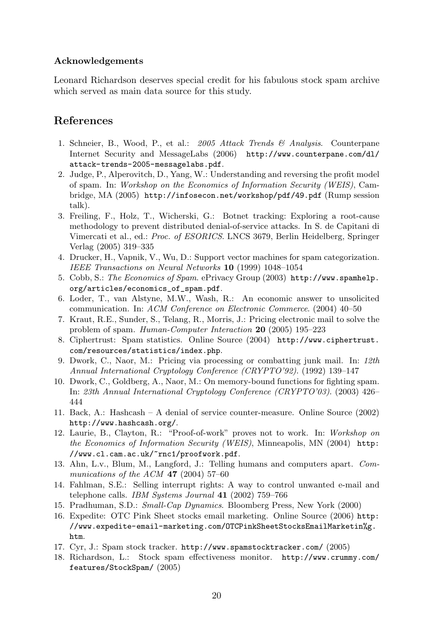## Acknowledgements

Leonard Richardson deserves special credit for his fabulous stock spam archive which served as main data source for this study.

# References

- 1. Schneier, B., Wood, P., et al.: 2005 Attack Trends & Analysis. Counterpane Internet Security and MessageLabs (2006) http://www.counterpane.com/dl/ attack-trends-2005-messagelabs.pdf.
- 2. Judge, P., Alperovitch, D., Yang, W.: Understanding and reversing the profit model of spam. In: Workshop on the Economics of Information Security (WEIS), Cambridge, MA (2005) http://infosecon.net/workshop/pdf/49.pdf (Rump session talk).
- 3. Freiling, F., Holz, T., Wicherski, G.: Botnet tracking: Exploring a root-cause methodology to prevent distributed denial-of-service attacks. In S. de Capitani di Vimercati et al., ed.: Proc. of ESORICS. LNCS 3679, Berlin Heidelberg, Springer Verlag (2005) 319–335
- 4. Drucker, H., Vapnik, V., Wu, D.: Support vector machines for spam categorization. IEEE Transactions on Neural Networks 10 (1999) 1048–1054
- 5. Cobb, S.: The Economics of Spam. ePrivacy Group (2003) http://www.spamhelp. org/articles/economics\_of\_spam.pdf.
- 6. Loder, T., van Alstyne, M.W., Wash, R.: An economic answer to unsolicited communication. In: ACM Conference on Electronic Commerce. (2004) 40–50
- 7. Kraut, R.E., Sunder, S., Telang, R., Morris, J.: Pricing electronic mail to solve the problem of spam. Human-Computer Interaction 20 (2005) 195–223
- 8. Ciphertrust: Spam statistics. Online Source (2004) http://www.ciphertrust. com/resources/statistics/index.php.
- 9. Dwork, C., Naor, M.: Pricing via processing or combatting junk mail. In: 12th Annual International Cryptology Conference (CRYPTO'92). (1992) 139–147
- 10. Dwork, C., Goldberg, A., Naor, M.: On memory-bound functions for fighting spam. In: 23th Annual International Cryptology Conference (CRYPTO'03). (2003) 426– 444
- 11. Back, A.: Hashcash A denial of service counter-measure. Online Source (2002) http://www.hashcash.org/.
- 12. Laurie, B., Clayton, R.: "Proof-of-work" proves not to work. In: Workshop on the Economics of Information Security (WEIS), Minneapolis, MN (2004) http: //www.cl.cam.ac.uk/~rnc1/proofwork.pdf.
- 13. Ahn, L.v., Blum, M., Langford, J.: Telling humans and computers apart. Communications of the ACM 47 (2004) 57–60
- 14. Fahlman, S.E.: Selling interrupt rights: A way to control unwanted e-mail and telephone calls. IBM Systems Journal 41 (2002) 759–766
- 15. Pradhuman, S.D.: Small-Cap Dynamics. Bloomberg Press, New York (2000)
- 16. Expedite: OTC Pink Sheet stocks email marketing. Online Source (2006) http: //www.expedite-email-marketing.com/OTCPinkSheetStocksEmailMarketin%g. htm.
- 17. Cyr, J.: Spam stock tracker. http://www.spamstocktracker.com/ (2005)
- 18. Richardson, L.: Stock spam effectiveness monitor. http://www.crummy.com/ features/StockSpam/ (2005)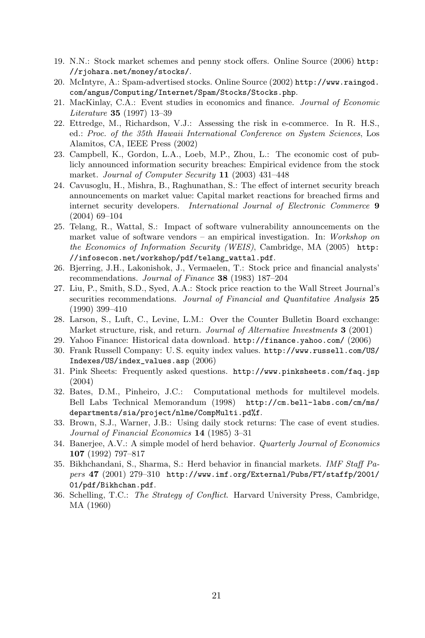- 19. N.N.: Stock market schemes and penny stock offers. Online Source (2006) http: //rjohara.net/money/stocks/.
- 20. McIntyre, A.: Spam-advertised stocks. Online Source (2002) http://www.raingod. com/angus/Computing/Internet/Spam/Stocks/Stocks.php.
- 21. MacKinlay, C.A.: Event studies in economics and finance. Journal of Economic Literature 35 (1997) 13–39
- 22. Ettredge, M., Richardson, V.J.: Assessing the risk in e-commerce. In R. H.S., ed.: Proc. of the 35th Hawaii International Conference on System Sciences, Los Alamitos, CA, IEEE Press (2002)
- 23. Campbell, K., Gordon, L.A., Loeb, M.P., Zhou, L.: The economic cost of publicly announced information security breaches: Empirical evidence from the stock market. Journal of Computer Security 11 (2003) 431–448
- 24. Cavusoglu, H., Mishra, B., Raghunathan, S.: The effect of internet security breach announcements on market value: Capital market reactions for breached firms and internet security developers. International Journal of Electronic Commerce 9 (2004) 69–104
- 25. Telang, R., Wattal, S.: Impact of software vulnerability announcements on the market value of software vendors – an empirical investigation. In: Workshop on the Economics of Information Security (WEIS), Cambridge, MA (2005) http: //infosecon.net/workshop/pdf/telang\_wattal.pdf.
- 26. Bjerring, J.H., Lakonishok, J., Vermaelen, T.: Stock price and financial analysts' recommendations. Journal of Finance 38 (1983) 187–204
- 27. Liu, P., Smith, S.D., Syed, A.A.: Stock price reaction to the Wall Street Journal's securities recommendations. Journal of Financial and Quantitative Analysis 25 (1990) 399–410
- 28. Larson, S., Luft, C., Levine, L.M.: Over the Counter Bulletin Board exchange: Market structure, risk, and return. Journal of Alternative Investments 3 (2001)
- 29. Yahoo Finance: Historical data download. http://finance.yahoo.com/ (2006)
- 30. Frank Russell Company: U. S. equity index values. http://www.russell.com/US/ Indexes/US/index\_values.asp (2006)
- 31. Pink Sheets: Frequently asked questions. http://www.pinksheets.com/faq.jsp (2004)
- 32. Bates, D.M., Pinheiro, J.C.: Computational methods for multilevel models. Bell Labs Technical Memorandum (1998) http://cm.bell-labs.com/cm/ms/ departments/sia/project/nlme/CompMulti.pd%f.
- 33. Brown, S.J., Warner, J.B.: Using daily stock returns: The case of event studies. Journal of Financial Economics 14 (1985) 3–31
- 34. Banerjee, A.V.: A simple model of herd behavior. Quarterly Journal of Economics 107 (1992) 797–817
- 35. Bikhchandani, S., Sharma, S.: Herd behavior in financial markets. IMF Staff Papers 47 (2001) 279–310 http://www.imf.org/External/Pubs/FT/staffp/2001/ 01/pdf/Bikhchan.pdf.
- 36. Schelling, T.C.: The Strategy of Conflict. Harvard University Press, Cambridge, MA (1960)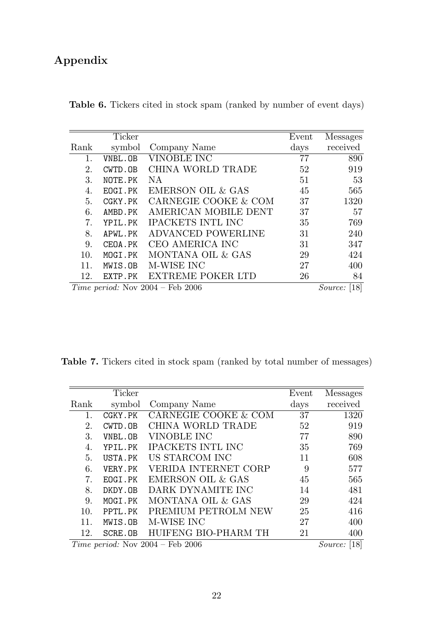# Appendix

| Table 6. Tickers cited in stock spam (ranked by number of event days) |  |  |
|-----------------------------------------------------------------------|--|--|
|-----------------------------------------------------------------------|--|--|

|      | Ticker  |                                      | Event         | Messages     |
|------|---------|--------------------------------------|---------------|--------------|
| Rank | symbol  | Company Name                         | $_{\rm days}$ | received     |
|      | VNBL.OB | VINOBLE INC                          | 77            | 890          |
| 2.   | CWTD.OB | CHINA WORLD TRADE                    | 52            | 919          |
| 3.   | NOTE.PK | NA                                   | 51            | 53           |
| 4.   | EOGI.PK | EMERSON OIL & GAS                    | 45            | 565          |
| 5.   | CGKY.PK | CARNEGIE COOKE & COM                 | 37            | 1320         |
| 6.   | AMBD.PK | AMERICAN MOBILE DENT                 | 37            | 57           |
| 7.   | YPIL.PK | <b>IPACKETS INTL INC</b>             | 35            | 769          |
| 8.   | APWL.PK | <b>ADVANCED POWERLINE</b>            | 31            | 240          |
| 9.   | CEOA.PK | CEO AMERICA INC                      | 31            | 347          |
| 10.  | MOGI.PK | MONTANA OIL & GAS                    | 29            | 424          |
| 11.  | MWIS.OB | M-WISE INC                           | 27            | 400          |
| 12.  | EXTP.PK | EXTREME POKER LTD                    | 26            | 84           |
|      |         | Time period: Nov $2004$ – Feb $2006$ |               | Source: [18] |

Table 7. Tickers cited in stock spam (ranked by total number of messages)

|      | Ticker  |                                  | Event         | Messages               |
|------|---------|----------------------------------|---------------|------------------------|
| Rank | symbol  | Company Name                     | $_{\rm days}$ | received               |
|      | CGKY.PK | CARNEGIE COOKE & COM             | 37            | 1320                   |
| 2.   | CWTD.OB | CHINA WORLD TRADE                | 52            | 919                    |
| 3.   | VNBL.OB | VINOBLE INC                      | 77            | 890                    |
| 4.   | YPIL.PK | <b>IPACKETS INTL INC</b>         | 35            | 769                    |
| 5.   | USTA.PK | US STARCOM INC                   | 11            | 608                    |
| 6.   | VERY.PK | VERIDA INTERNET CORP             | 9             | 577                    |
| 7.   | EOGI.PK | <b>EMERSON OIL &amp; GAS</b>     | 45            | 565                    |
| 8.   | DKDY.OB | DARK DYNAMITE INC                | 14            | 481                    |
| 9.   | MOGI.PK | MONTANA OIL & GAS                | 29            | 424                    |
| 10.  | PPTL.PK | PREMIUM PETROLM NEW              | 25            | 416                    |
| 11.  | MWIS.OB | M-WISE INC                       | 27            | 400                    |
| 12.  | SCRE.OB | HUIFENG BIO-PHARM TH             | 21            | 400                    |
|      |         | Time period: Nov 2004 - Feb 2006 |               | <i>Source</i> : $[18]$ |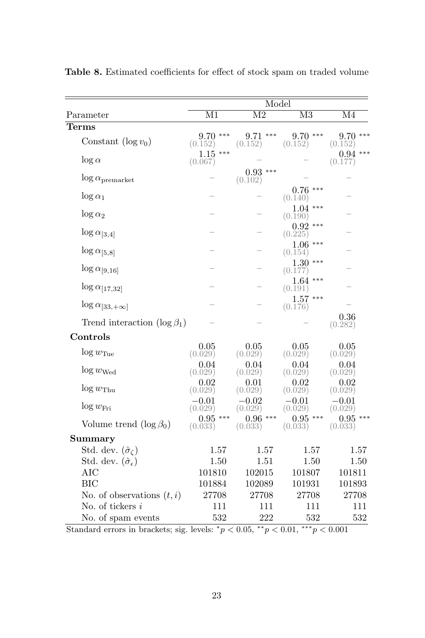|                                       | Model                    |                          |                          |                          |  |  |
|---------------------------------------|--------------------------|--------------------------|--------------------------|--------------------------|--|--|
| Parameter                             | $\overline{\mathrm{M1}}$ | $\overline{\mathrm{M2}}$ | $\overline{\mathrm{M}3}$ | $\overline{\mathrm{M}4}$ |  |  |
| <b>Terms</b>                          |                          |                          |                          |                          |  |  |
| Constant $(\log v_0)$                 | $9.70$ ***<br>(0.152)    | $9.71$ ***<br>(0.152)    | $9.70***$<br>(0.152)     | $9.70***$<br>(0.152)     |  |  |
| $\log\alpha$                          | $1.15***$<br>(0.067)     |                          |                          | $0.94$ ***<br>(0.177)    |  |  |
| $\log \alpha$ <sub>premarket</sub>    |                          | $0.93***$<br>(0.102)     |                          |                          |  |  |
| $\log \alpha_1$                       |                          |                          | $0.76$ ***<br>(0.140)    |                          |  |  |
| $\log \alpha_2$                       |                          |                          | $1.04***$<br>(0.190)     |                          |  |  |
| $\log \alpha_{[3,4]}$                 |                          |                          | $0.92$ ***<br>(0.225)    |                          |  |  |
| $\log \alpha_{[5,8]}$                 |                          |                          | $1.06***$<br>(0.154)     |                          |  |  |
| $\log \alpha_{[9,16]}$                |                          |                          | $1.30***$<br>(0.177)     |                          |  |  |
| $\log \alpha_{[17,32]}$               |                          |                          | $1.64***$<br>(0.191)     |                          |  |  |
| $\log \alpha_{[33, +\infty]}$         |                          |                          | $1.57***$<br>(0.176)     |                          |  |  |
| Trend interaction $(\log \beta_1)$    |                          |                          |                          | 0.36<br>(0.282)          |  |  |
| Controls                              |                          |                          |                          |                          |  |  |
| $\log w_{\text{True}}$                | 0.05<br>(0.029)          | 0.05<br>(0.029)          | 0.05<br>(0.029)          | 0.05<br>(0.029)          |  |  |
| $\log w_{\text{Wed}}$                 | 0.04<br>(0.029)          | 0.04<br>(0.029)          | 0.04<br>(0.029)          | 0.04<br>(0.029)          |  |  |
| $\log w_{\text{Thu}}$                 | 0.02<br>(0.029)          | 0.01<br>(0.029)          | 0.02<br>(0.029)          | 0.02<br>(0.029)          |  |  |
| $\log w_{\text{Fri}}$                 | $-0.01$<br>(0.029)       | $-0.02$<br>(0.029)       | $-0.01$<br>(0.029)       | $-0.01$<br>(0.029)       |  |  |
| Volume trend $(\log \beta_0)$         | $0.95***$<br>(0.033)     | $0.96***$<br>(0.033)     | $0.95***$<br>(0.033)     | $0.95***$<br>(0.033)     |  |  |
| Summary                               |                          |                          |                          |                          |  |  |
| Std. dev. $(\hat{\sigma}_c)$          | 1.57                     | 1.57                     | 1.57                     | 1.57                     |  |  |
| Std. dev. $(\hat{\sigma}_{\epsilon})$ | 1.50                     | 1.51                     | 1.50                     | 1.50                     |  |  |
| <b>AIC</b>                            | 101810                   | 102015                   | 101807                   | 101811                   |  |  |
| <b>BIC</b>                            | 101884                   | 102089                   | 101931                   | 101893                   |  |  |
| No. of observations $(t, i)$          | 27708                    | 27708                    | 27708                    | 27708                    |  |  |
| No. of tickers $i$                    | 111                      | 111                      | 111                      | 111                      |  |  |
| No. of spam events                    | 532                      | 222<br>sk sk             | 532<br>***               | 532                      |  |  |

Table 8. Estimated coefficients for effect of stock spam on traded volume

Standard errors in brackets; sig. levels:  $\binom{*}{p}$  < 0.05,  $\binom{*}{p}$  < 0.01,  $\binom{***}{p}$  < 0.001